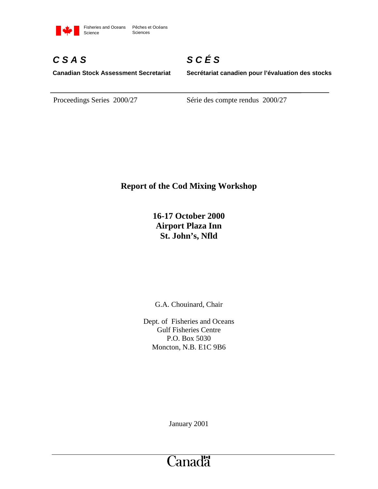

# *C S A S*

*S C É S*

**Canadian Stock Assessment Secretariat**

**Secrétariat canadien pour l'évaluation des stocks**

Proceedings Series 2000/27 Série des compte rendus 2000/27

# **Report of the Cod Mixing Workshop**

**16-17 October 2000 Airport Plaza Inn St. John's, Nfld**

G.A. Chouinard, Chair

Dept. of Fisheries and Oceans Gulf Fisheries Centre P.O. Box 5030 Moncton, N.B. E1C 9B6

January 2001

# Canadä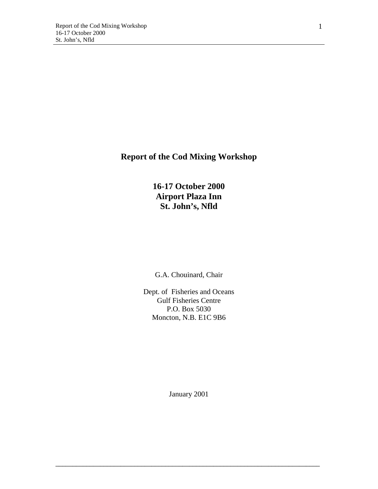# **Report of the Cod Mixing Workshop**

**16-17 October 2000 Airport Plaza Inn St. John's, Nfld**

G.A. Chouinard, Chair

Dept. of Fisheries and Oceans Gulf Fisheries Centre P.O. Box 5030 Moncton, N.B. E1C 9B6

January 2001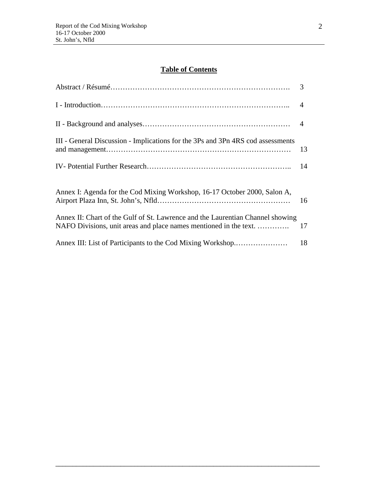# **Table of Contents**

| III - General Discussion - Implications for the 3Ps and 3Pn 4RS cod assessments                                                                     | 13 |
|-----------------------------------------------------------------------------------------------------------------------------------------------------|----|
|                                                                                                                                                     | 14 |
| Annex I: Agenda for the Cod Mixing Workshop, 16-17 October 2000, Salon A,                                                                           | 16 |
| Annex II: Chart of the Gulf of St. Lawrence and the Laurentian Channel showing<br>NAFO Divisions, unit areas and place names mentioned in the text. | 17 |
| Annex III: List of Participants to the Cod Mixing Workshop                                                                                          | 18 |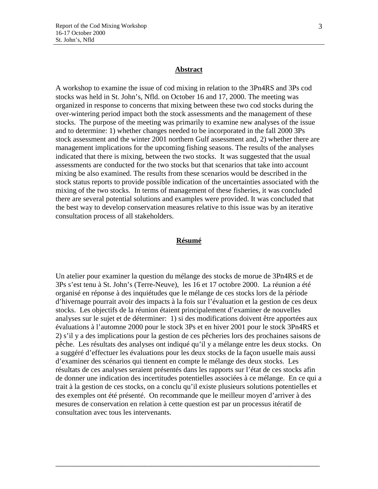#### **Abstract**

A workshop to examine the issue of cod mixing in relation to the 3Pn4RS and 3Ps cod stocks was held in St. John's, Nfld. on October 16 and 17, 2000. The meeting was organized in response to concerns that mixing between these two cod stocks during the over-wintering period impact both the stock assessments and the management of these stocks. The purpose of the meeting was primarily to examine new analyses of the issue and to determine: 1) whether changes needed to be incorporated in the fall 2000 3Ps stock assessment and the winter 2001 northern Gulf assessment and, 2) whether there are management implications for the upcoming fishing seasons. The results of the analyses indicated that there is mixing, between the two stocks. It was suggested that the usual assessments are conducted for the two stocks but that scenarios that take into account mixing be also examined. The results from these scenarios would be described in the stock status reports to provide possible indication of the uncertainties associated with the mixing of the two stocks. In terms of management of these fisheries, it was concluded there are several potential solutions and examples were provided. It was concluded that the best way to develop conservation measures relative to this issue was by an iterative consultation process of all stakeholders.

#### **Résumé**

Un atelier pour examiner la question du mélange des stocks de morue de 3Pn4RS et de 3Ps s'est tenu à St. John's (Terre-Neuve), les 16 et 17 octobre 2000. La réunion a été organisé en réponse à des inquiétudes que le mélange de ces stocks lors de la période d'hivernage pourrait avoir des impacts à la fois sur l'évaluation et la gestion de ces deux stocks. Les objectifs de la réunion étaient principalement d'examiner de nouvelles analyses sur le sujet et de déterminer: 1) si des modifications doivent être apportées aux évaluations à l'automne 2000 pour le stock 3Ps et en hiver 2001 pour le stock 3Pn4RS et 2) s'il y a des implications pour la gestion de ces pêcheries lors des prochaines saisons de pêche. Les résultats des analyses ont indiqué qu'il y a mélange entre les deux stocks. On a suggéré d'effectuer les évaluations pour les deux stocks de la façon usuelle mais aussi d'examiner des scénarios qui tiennent en compte le mélange des deux stocks. Les résultats de ces analyses seraient présentés dans les rapports sur l'état de ces stocks afin de donner une indication des incertitudes potentielles associées à ce mélange. En ce qui a trait à la gestion de ces stocks, on a conclu qu'il existe plusieurs solutions potentielles et des exemples ont été présenté. On recommande que le meilleur moyen d'arriver à des mesures de conservation en relation à cette question est par un processus itératif de consultation avec tous les intervenants.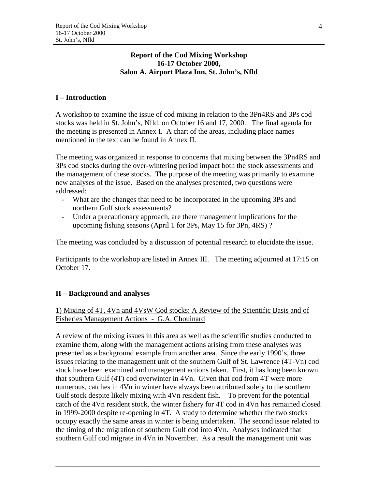#### **Report of the Cod Mixing Workshop 16-17 October 2000, Salon A, Airport Plaza Inn, St. John's, Nfld**

# **I – Introduction**

A workshop to examine the issue of cod mixing in relation to the 3Pn4RS and 3Ps cod stocks was held in St. John's, Nfld. on October 16 and 17, 2000. The final agenda for the meeting is presented in Annex I. A chart of the areas, including place names mentioned in the text can be found in Annex II.

The meeting was organized in response to concerns that mixing between the 3Pn4RS and 3Ps cod stocks during the over-wintering period impact both the stock assessments and the management of these stocks. The purpose of the meeting was primarily to examine new analyses of the issue. Based on the analyses presented, two questions were addressed:

- What are the changes that need to be incorporated in the upcoming 3Ps and northern Gulf stock assessments?
- Under a precautionary approach, are there management implications for the upcoming fishing seasons (April 1 for 3Ps, May 15 for 3Pn, 4RS) ?

The meeting was concluded by a discussion of potential research to elucidate the issue.

Participants to the workshop are listed in Annex III. The meeting adjourned at 17:15 on October 17.

# **II – Background and analyses**

# 1) Mixing of 4T, 4Vn and 4VsW Cod stocks: A Review of the Scientific Basis and of Fisheries Management Actions - G.A. Chouinard

A review of the mixing issues in this area as well as the scientific studies conducted to examine them, along with the management actions arising from these analyses was presented as a background example from another area. Since the early 1990's, three issues relating to the management unit of the southern Gulf of St. Lawrence (4T-Vn) cod stock have been examined and management actions taken. First, it has long been known that southern Gulf (4T) cod overwinter in 4Vn. Given that cod from 4T were more numerous, catches in 4Vn in winter have always been attributed solely to the southern Gulf stock despite likely mixing with 4Vn resident fish. To prevent for the potential catch of the 4Vn resident stock, the winter fishery for 4T cod in 4Vn has remained closed in 1999-2000 despite re-opening in 4T. A study to determine whether the two stocks occupy exactly the same areas in winter is being undertaken. The second issue related to the timing of the migration of southern Gulf cod into 4Vn. Analyses indicated that southern Gulf cod migrate in 4Vn in November. As a result the management unit was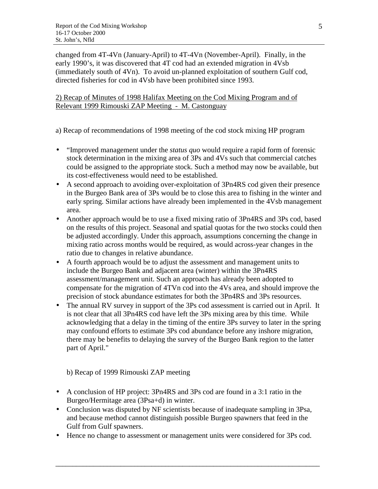changed from 4T-4Vn (January-April) to 4T-4Vn (November-April). Finally, in the early 1990's, it was discovered that 4T cod had an extended migration in 4Vsb (immediately south of 4Vn). To avoid un-planned exploitation of southern Gulf cod, directed fisheries for cod in 4Vsb have been prohibited since 1993.

2) Recap of Minutes of 1998 Halifax Meeting on the Cod Mixing Program and of Relevant 1999 Rimouski ZAP Meeting - M. Castonguay

a) Recap of recommendations of 1998 meeting of the cod stock mixing HP program

- "Improved management under the *status quo* would require a rapid form of forensic stock determination in the mixing area of 3Ps and 4Vs such that commercial catches could be assigned to the appropriate stock. Such a method may now be available, but its cost-effectiveness would need to be established.
- A second approach to avoiding over-exploitation of 3Pn4RS cod given their presence in the Burgeo Bank area of 3Ps would be to close this area to fishing in the winter and early spring. Similar actions have already been implemented in the 4Vsb management area.
- Another approach would be to use a fixed mixing ratio of 3Pn4RS and 3Ps cod, based on the results of this project. Seasonal and spatial quotas for the two stocks could then be adjusted accordingly. Under this approach, assumptions concerning the change in mixing ratio across months would be required, as would across-year changes in the ratio due to changes in relative abundance.
- A fourth approach would be to adjust the assessment and management units to include the Burgeo Bank and adjacent area (winter) within the 3Pn4RS assessment/management unit. Such an approach has already been adopted to compensate for the migration of 4TVn cod into the 4Vs area, and should improve the precision of stock abundance estimates for both the 3Pn4RS and 3Ps resources.
- The annual RV survey in support of the 3Ps cod assessment is carried out in April. It is not clear that all 3Pn4RS cod have left the 3Ps mixing area by this time. While acknowledging that a delay in the timing of the entire 3Ps survey to later in the spring may confound efforts to estimate 3Ps cod abundance before any inshore migration, there may be benefits to delaying the survey of the Burgeo Bank region to the latter part of April."

b) Recap of 1999 Rimouski ZAP meeting

- A conclusion of HP project: 3Pn4RS and 3Ps cod are found in a 3:1 ratio in the Burgeo/Hermitage area (3Psa+d) in winter.
- Conclusion was disputed by NF scientists because of inadequate sampling in 3Psa, and because method cannot distinguish possible Burgeo spawners that feed in the Gulf from Gulf spawners.
- Hence no change to assessment or management units were considered for 3Ps cod.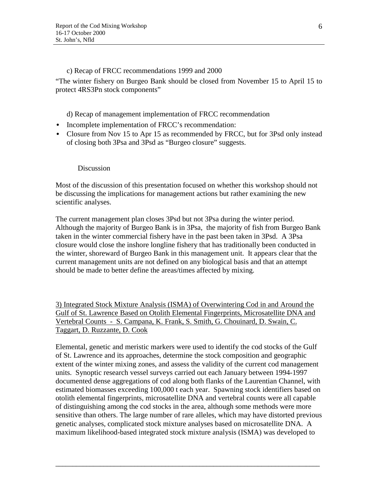c) Recap of FRCC recommendations 1999 and 2000

"The winter fishery on Burgeo Bank should be closed from November 15 to April 15 to protect 4RS3Pn stock components"

d) Recap of management implementation of FRCC recommendation

- Incomplete implementation of FRCC's recommendation:
- Closure from Nov 15 to Apr 15 as recommended by FRCC, but for 3Psd only instead of closing both 3Psa and 3Psd as "Burgeo closure" suggests.

# Discussion

Most of the discussion of this presentation focused on whether this workshop should not be discussing the implications for management actions but rather examining the new scientific analyses.

The current management plan closes 3Psd but not 3Psa during the winter period. Although the majority of Burgeo Bank is in 3Psa, the majority of fish from Burgeo Bank taken in the winter commercial fishery have in the past been taken in 3Psd. A 3Psa closure would close the inshore longline fishery that has traditionally been conducted in the winter, shoreward of Burgeo Bank in this management unit. It appears clear that the current management units are not defined on any biological basis and that an attempt should be made to better define the areas/times affected by mixing.

3) Integrated Stock Mixture Analysis (ISMA) of Overwintering Cod in and Around the Gulf of St. Lawrence Based on Otolith Elemental Fingerprints, Microsatellite DNA and Vertebral Counts - S. Campana, K. Frank, S. Smith, G. Chouinard, D. Swain, C. Taggart, D. Ruzzante, D. Cook

Elemental, genetic and meristic markers were used to identify the cod stocks of the Gulf of St. Lawrence and its approaches, determine the stock composition and geographic extent of the winter mixing zones, and assess the validity of the current cod management units. Synoptic research vessel surveys carried out each January between 1994-1997 documented dense aggregations of cod along both flanks of the Laurentian Channel, with estimated biomasses exceeding 100,000 t each year. Spawning stock identifiers based on otolith elemental fingerprints, microsatellite DNA and vertebral counts were all capable of distinguishing among the cod stocks in the area, although some methods were more sensitive than others. The large number of rare alleles, which may have distorted previous genetic analyses, complicated stock mixture analyses based on microsatellite DNA. A maximum likelihood-based integrated stock mixture analysis (ISMA) was developed to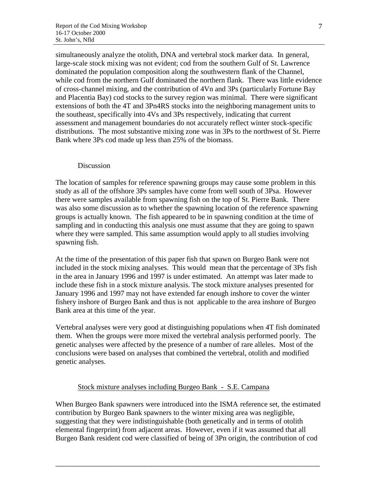simultaneously analyze the otolith, DNA and vertebral stock marker data. In general, large-scale stock mixing was not evident; cod from the southern Gulf of St. Lawrence dominated the population composition along the southwestern flank of the Channel, while cod from the northern Gulf dominated the northern flank. There was little evidence of cross-channel mixing, and the contribution of 4Vn and 3Ps (particularly Fortune Bay and Placentia Bay) cod stocks to the survey region was minimal. There were significant extensions of both the 4T and 3Pn4RS stocks into the neighboring management units to the southeast, specifically into 4Vs and 3Ps respectively, indicating that current assessment and management boundaries do not accurately reflect winter stock-specific distributions. The most substantive mixing zone was in 3Ps to the northwest of St. Pierre Bank where 3Ps cod made up less than 25% of the biomass.

#### Discussion

The location of samples for reference spawning groups may cause some problem in this study as all of the offshore 3Ps samples have come from well south of 3Psa. However there were samples available from spawning fish on the top of St. Pierre Bank. There was also some discussion as to whether the spawning location of the reference spawning groups is actually known. The fish appeared to be in spawning condition at the time of sampling and in conducting this analysis one must assume that they are going to spawn where they were sampled. This same assumption would apply to all studies involving spawning fish.

At the time of the presentation of this paper fish that spawn on Burgeo Bank were not included in the stock mixing analyses. This would mean that the percentage of 3Ps fish in the area in January 1996 and 1997 is under estimated. An attempt was later made to include these fish in a stock mixture analysis. The stock mixture analyses presented for January 1996 and 1997 may not have extended far enough inshore to cover the winter fishery inshore of Burgeo Bank and thus is not applicable to the area inshore of Burgeo Bank area at this time of the year.

Vertebral analyses were very good at distinguishing populations when 4T fish dominated them. When the groups were more mixed the vertebral analysis performed poorly. The genetic analyses were affected by the presence of a number of rare alleles. Most of the conclusions were based on analyses that combined the vertebral, otolith and modified genetic analyses.

#### Stock mixture analyses including Burgeo Bank - S.E. Campana

When Burgeo Bank spawners were introduced into the ISMA reference set, the estimated contribution by Burgeo Bank spawners to the winter mixing area was negligible, suggesting that they were indistinguishable (both genetically and in terms of otolith elemental fingerprint) from adjacent areas. However, even if it was assumed that all Burgeo Bank resident cod were classified of being of 3Pn origin, the contribution of cod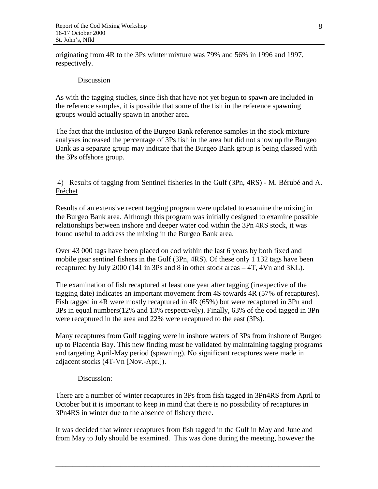originating from 4R to the 3Ps winter mixture was 79% and 56% in 1996 and 1997, respectively.

#### Discussion

As with the tagging studies, since fish that have not yet begun to spawn are included in the reference samples, it is possible that some of the fish in the reference spawning groups would actually spawn in another area.

The fact that the inclusion of the Burgeo Bank reference samples in the stock mixture analyses increased the percentage of 3Ps fish in the area but did not show up the Burgeo Bank as a separate group may indicate that the Burgeo Bank group is being classed with the 3Ps offshore group.

 4) Results of tagging from Sentinel fisheries in the Gulf (3Pn, 4RS) - M. Bérubé and A. Fréchet

Results of an extensive recent tagging program were updated to examine the mixing in the Burgeo Bank area. Although this program was initially designed to examine possible relationships between inshore and deeper water cod within the 3Pn 4RS stock, it was found useful to address the mixing in the Burgeo Bank area.

Over 43 000 tags have been placed on cod within the last 6 years by both fixed and mobile gear sentinel fishers in the Gulf (3Pn, 4RS). Of these only 1 132 tags have been recaptured by July 2000 (141 in 3Ps and 8 in other stock areas – 4T, 4Vn and 3KL).

The examination of fish recaptured at least one year after tagging (irrespective of the tagging date) indicates an important movement from 4S towards 4R (57% of recaptures). Fish tagged in 4R were mostly recaptured in 4R (65%) but were recaptured in 3Pn and 3Ps in equal numbers(12% and 13% respectively). Finally, 63% of the cod tagged in 3Pn were recaptured in the area and 22% were recaptured to the east (3Ps).

Many recaptures from Gulf tagging were in inshore waters of 3Ps from inshore of Burgeo up to Placentia Bay. This new finding must be validated by maintaining tagging programs and targeting April-May period (spawning). No significant recaptures were made in adjacent stocks (4T-Vn [Nov.-Apr.]).

#### Discussion:

There are a number of winter recaptures in 3Ps from fish tagged in 3Pn4RS from April to October but it is important to keep in mind that there is no possibility of recaptures in 3Pn4RS in winter due to the absence of fishery there.

It was decided that winter recaptures from fish tagged in the Gulf in May and June and from May to July should be examined. This was done during the meeting, however the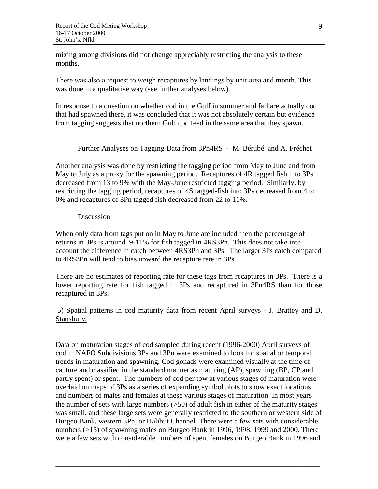mixing among divisions did not change appreciably restricting the analysis to these months.

There was also a request to weigh recaptures by landings by unit area and month. This was done in a qualitative way (see further analyses below)..

In response to a question on whether cod in the Gulf in summer and fall are actually cod that had spawned there, it was concluded that it was not absolutely certain but evidence from tagging suggests that northern Gulf cod feed in the same area that they spawn.

#### Further Analyses on Tagging Data from 3Pn4RS - M. Bérubé and A. Fréchet

Another analysis was done by restricting the tagging period from May to June and from May to July as a proxy for the spawning period. Recaptures of 4R tagged fish into 3Ps decreased from 13 to 9% with the May-June restricted tagging period. Similarly, by restricting the tagging period, recaptures of 4S tagged-fish into 3Ps decreased from 4 to 0% and recaptures of 3Pn tagged fish decreased from 22 to 11%.

#### Discussion

When only data from tags put on in May to June are included then the percentage of returns in 3Ps is around 9-11% for fish tagged in 4RS3Pn. This does not take into account the difference in catch between 4RS3Pn and 3Ps. The larger 3Ps catch compared to 4RS3Pn will tend to bias upward the recapture rate in 3Ps.

There are no estimates of reporting rate for these tags from recaptures in 3Ps. There is a lower reporting rate for fish tagged in 3Ps and recaptured in 3Pn4RS than for those recaptured in 3Ps.

 5) Spatial patterns in cod maturity data from recent April surveys - J. Brattey and D. Stansbury.

Data on maturation stages of cod sampled during recent (1996-2000) April surveys of cod in NAFO Subdivisions 3Ps and 3Pn were examined to look for spatial or temporal trends in maturation and spawning. Cod gonads were examined visually at the time of capture and classified in the standard manner as maturing (AP), spawning (BP, CP and partly spent) or spent. The numbers of cod per tow at various stages of maturation were overlaid on maps of 3Ps as a series of expanding symbol plots to show exact locations and numbers of males and females at these various stages of maturation. In most years the number of sets with large numbers (>50) of adult fish in either of the maturity stages was small, and these large sets were generally restricted to the southern or western side of Burgeo Bank, western 3Pn, or Halibut Channel. There were a few sets with considerable numbers (>15) of spawning males on Burgeo Bank in 1996, 1998, 1999 and 2000. There were a few sets with considerable numbers of spent females on Burgeo Bank in 1996 and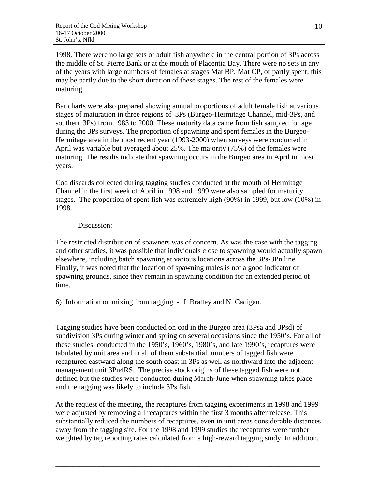1998. There were no large sets of adult fish anywhere in the central portion of 3Ps across the middle of St. Pierre Bank or at the mouth of Placentia Bay. There were no sets in any of the years with large numbers of females at stages Mat BP, Mat CP, or partly spent; this may be partly due to the short duration of these stages. The rest of the females were maturing.

Bar charts were also prepared showing annual proportions of adult female fish at various stages of maturation in three regions of 3Ps (Burgeo-Hermitage Channel, mid-3Ps, and southern 3Ps) from 1983 to 2000. These maturity data came from fish sampled for age during the 3Ps surveys. The proportion of spawning and spent females in the Burgeo-Hermitage area in the most recent year (1993-2000) when surveys were conducted in April was variable but averaged about 25%. The majority (75%) of the females were maturing. The results indicate that spawning occurs in the Burgeo area in April in most years.

Cod discards collected during tagging studies conducted at the mouth of Hermitage Channel in the first week of April in 1998 and 1999 were also sampled for maturity stages. The proportion of spent fish was extremely high (90%) in 1999, but low (10%) in 1998.

#### Discussion:

The restricted distribution of spawners was of concern. As was the case with the tagging and other studies, it was possible that individuals close to spawning would actually spawn elsewhere, including batch spawning at various locations across the 3Ps-3Pn line. Finally, it was noted that the location of spawning males is not a good indicator of spawning grounds, since they remain in spawning condition for an extended period of time.

# 6) Information on mixing from tagging - J. Brattey and N. Cadigan.

Tagging studies have been conducted on cod in the Burgeo area (3Psa and 3Psd) of subdivision 3Ps during winter and spring on several occasions since the 1950's. For all of these studies, conducted in the 1950's, 1960's, 1980's, and late 1990's, recaptures were tabulated by unit area and in all of them substantial numbers of tagged fish were recaptured eastward along the south coast in 3Ps as well as northward into the adjacent management unit 3Pn4RS. The precise stock origins of these tagged fish were not defined but the studies were conducted during March-June when spawning takes place and the tagging was likely to include 3Ps fish.

At the request of the meeting, the recaptures from tagging experiments in 1998 and 1999 were adjusted by removing all recaptures within the first 3 months after release. This substantially reduced the numbers of recaptures, even in unit areas considerable distances away from the tagging site. For the 1998 and 1999 studies the recaptures were further weighted by tag reporting rates calculated from a high-reward tagging study. In addition,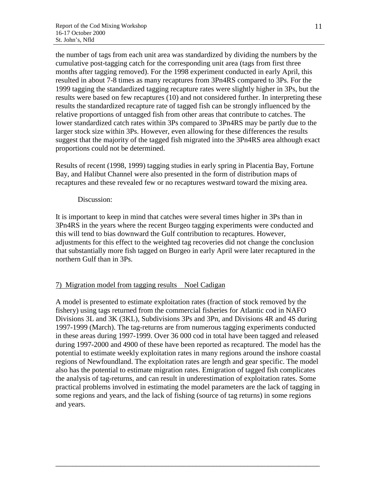the number of tags from each unit area was standardized by dividing the numbers by the cumulative post-tagging catch for the corresponding unit area (tags from first three months after tagging removed). For the 1998 experiment conducted in early April, this resulted in about 7-8 times as many recaptures from 3Pn4RS compared to 3Ps. For the 1999 tagging the standardized tagging recapture rates were slightly higher in 3Ps, but the results were based on few recaptures (10) and not considered further. In interpreting these results the standardized recapture rate of tagged fish can be strongly influenced by the relative proportions of untagged fish from other areas that contribute to catches. The lower standardized catch rates within 3Ps compared to 3Pn4RS may be partly due to the larger stock size within 3Ps. However, even allowing for these differences the results suggest that the majority of the tagged fish migrated into the 3Pn4RS area although exact proportions could not be determined.

Results of recent (1998, 1999) tagging studies in early spring in Placentia Bay, Fortune Bay, and Halibut Channel were also presented in the form of distribution maps of recaptures and these revealed few or no recaptures westward toward the mixing area.

#### Discussion:

It is important to keep in mind that catches were several times higher in 3Ps than in 3Pn4RS in the years where the recent Burgeo tagging experiments were conducted and this will tend to bias downward the Gulf contribution to recaptures. However, adjustments for this effect to the weighted tag recoveries did not change the conclusion that substantially more fish tagged on Burgeo in early April were later recaptured in the northern Gulf than in 3Ps.

#### 7) Migration model from tagging results Noel Cadigan

A model is presented to estimate exploitation rates (fraction of stock removed by the fishery) using tags returned from the commercial fisheries for Atlantic cod in NAFO Divisions 3L and 3K (3KL), Subdivisions 3Ps and 3Pn, and Divisions 4R and 4S during 1997-1999 (March). The tag-returns are from numerous tagging experiments conducted in these areas during 1997-1999. Over 36 000 cod in total have been tagged and released during 1997-2000 and 4900 of these have been reported as recaptured. The model has the potential to estimate weekly exploitation rates in many regions around the inshore coastal regions of Newfoundland. The exploitation rates are length and gear specific. The model also has the potential to estimate migration rates. Emigration of tagged fish complicates the analysis of tag-returns, and can result in underestimation of exploitation rates. Some practical problems involved in estimating the model parameters are the lack of tagging in some regions and years, and the lack of fishing (source of tag returns) in some regions and years.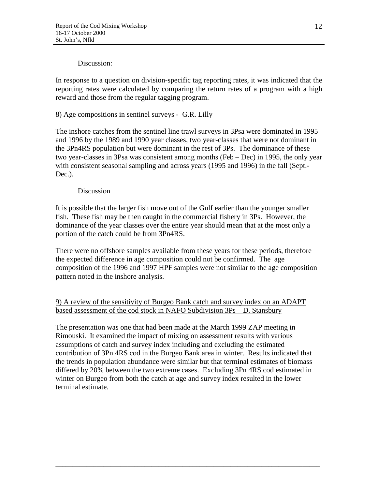#### Discussion:

In response to a question on division-specific tag reporting rates, it was indicated that the reporting rates were calculated by comparing the return rates of a program with a high reward and those from the regular tagging program.

## 8) Age compositions in sentinel surveys - G.R. Lilly

The inshore catches from the sentinel line trawl surveys in 3Psa were dominated in 1995 and 1996 by the 1989 and 1990 year classes, two year-classes that were not dominant in the 3Pn4RS population but were dominant in the rest of 3Ps. The dominance of these two year-classes in 3Psa was consistent among months (Feb – Dec) in 1995, the only year with consistent seasonal sampling and across years (1995 and 1996) in the fall (Sept.- Dec.).

#### Discussion

It is possible that the larger fish move out of the Gulf earlier than the younger smaller fish. These fish may be then caught in the commercial fishery in 3Ps. However, the dominance of the year classes over the entire year should mean that at the most only a portion of the catch could be from 3Pn4RS.

There were no offshore samples available from these years for these periods, therefore the expected difference in age composition could not be confirmed. The age composition of the 1996 and 1997 HPF samples were not similar to the age composition pattern noted in the inshore analysis.

# 9) A review of the sensitivity of Burgeo Bank catch and survey index on an ADAPT based assessment of the cod stock in NAFO Subdivision 3Ps – D. Stansbury

The presentation was one that had been made at the March 1999 ZAP meeting in Rimouski. It examined the impact of mixing on assessment results with various assumptions of catch and survey index including and excluding the estimated contribution of 3Pn 4RS cod in the Burgeo Bank area in winter. Results indicated that the trends in population abundance were similar but that terminal estimates of biomass differed by 20% between the two extreme cases. Excluding 3Pn 4RS cod estimated in winter on Burgeo from both the catch at age and survey index resulted in the lower terminal estimate.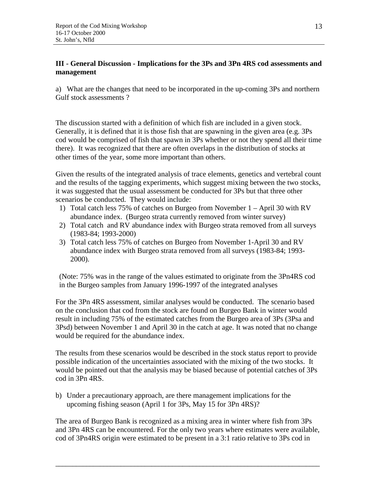# **III - General Discussion - Implications for the 3Ps and 3Pn 4RS cod assessments and management**

a) What are the changes that need to be incorporated in the up-coming 3Ps and northern Gulf stock assessments ?

The discussion started with a definition of which fish are included in a given stock. Generally, it is defined that it is those fish that are spawning in the given area (e.g. 3Ps cod would be comprised of fish that spawn in 3Ps whether or not they spend all their time there). It was recognized that there are often overlaps in the distribution of stocks at other times of the year, some more important than others.

Given the results of the integrated analysis of trace elements, genetics and vertebral count and the results of the tagging experiments, which suggest mixing between the two stocks, it was suggested that the usual assessment be conducted for 3Ps but that three other scenarios be conducted. They would include:

- 1) Total catch less 75% of catches on Burgeo from November 1 April 30 with RV abundance index. (Burgeo strata currently removed from winter survey)
- 2) Total catch and RV abundance index with Burgeo strata removed from all surveys (1983-84; 1993-2000)
- 3) Total catch less 75% of catches on Burgeo from November 1-April 30 and RV abundance index with Burgeo strata removed from all surveys (1983-84; 1993- 2000).

(Note: 75% was in the range of the values estimated to originate from the 3Pn4RS cod in the Burgeo samples from January 1996-1997 of the integrated analyses

For the 3Pn 4RS assessment, similar analyses would be conducted. The scenario based on the conclusion that cod from the stock are found on Burgeo Bank in winter would result in including 75% of the estimated catches from the Burgeo area of 3Ps (3Psa and 3Psd) between November 1 and April 30 in the catch at age. It was noted that no change would be required for the abundance index.

The results from these scenarios would be described in the stock status report to provide possible indication of the uncertainties associated with the mixing of the two stocks. It would be pointed out that the analysis may be biased because of potential catches of 3Ps cod in 3Pn 4RS.

b) Under a precautionary approach, are there management implications for the upcoming fishing season (April 1 for 3Ps, May 15 for 3Pn 4RS)?

The area of Burgeo Bank is recognized as a mixing area in winter where fish from 3Ps and 3Pn 4RS can be encountered. For the only two years where estimates were available, cod of 3Pn4RS origin were estimated to be present in a 3:1 ratio relative to 3Ps cod in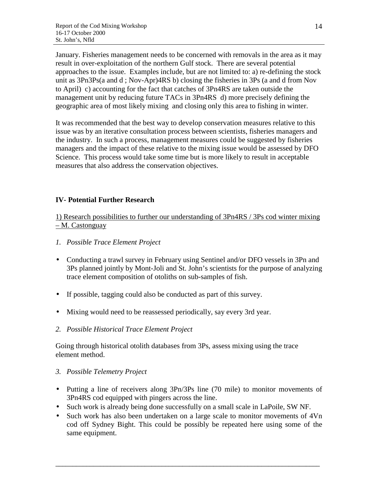January. Fisheries management needs to be concerned with removals in the area as it may result in over-exploitation of the northern Gulf stock. There are several potential approaches to the issue. Examples include, but are not limited to: a) re-defining the stock unit as 3Pn3Ps(a and d ; Nov-Apr)4RS b) closing the fisheries in 3Ps (a and d from Nov to April) c) accounting for the fact that catches of 3Pn4RS are taken outside the management unit by reducing future TACs in 3Pn4RS d) more precisely defining the geographic area of most likely mixing and closing only this area to fishing in winter.

It was recommended that the best way to develop conservation measures relative to this issue was by an iterative consultation process between scientists, fisheries managers and the industry. In such a process, management measures could be suggested by fisheries managers and the impact of these relative to the mixing issue would be assessed by DFO Science. This process would take some time but is more likely to result in acceptable measures that also address the conservation objectives.

# **IV- Potential Further Research**

1) Research possibilities to further our understanding of 3Pn4RS / 3Ps cod winter mixing – M. Castonguay

- *1. Possible Trace Element Project*
- Conducting a trawl survey in February using Sentinel and/or DFO vessels in 3Pn and 3Ps planned jointly by Mont-Joli and St. John's scientists for the purpose of analyzing trace element composition of otoliths on sub-samples of fish.
- If possible, tagging could also be conducted as part of this survey.
- Mixing would need to be reassessed periodically, say every 3rd year.
- *2. Possible Historical Trace Element Project*

Going through historical otolith databases from 3Ps, assess mixing using the trace element method.

# *3. Possible Telemetry Project*

- Putting a line of receivers along 3Pn/3Ps line (70 mile) to monitor movements of 3Pn4RS cod equipped with pingers across the line.
- Such work is already being done successfully on a small scale in LaPoile, SW NF.
- Such work has also been undertaken on a large scale to monitor movements of 4Vn cod off Sydney Bight. This could be possibly be repeated here using some of the same equipment.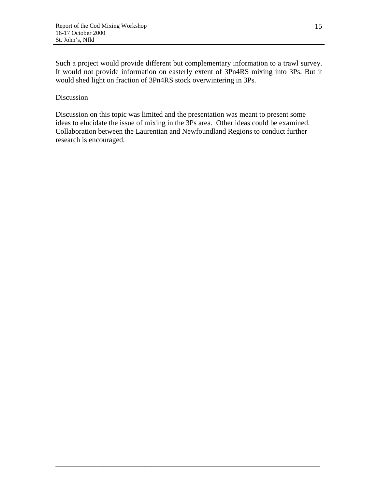Such a project would provide different but complementary information to a trawl survey. It would not provide information on easterly extent of 3Pn4RS mixing into 3Ps. But it would shed light on fraction of 3Pn4RS stock overwintering in 3Ps.

#### **Discussion**

Discussion on this topic was limited and the presentation was meant to present some ideas to elucidate the issue of mixing in the 3Ps area. Other ideas could be examined. Collaboration between the Laurentian and Newfoundland Regions to conduct further research is encouraged.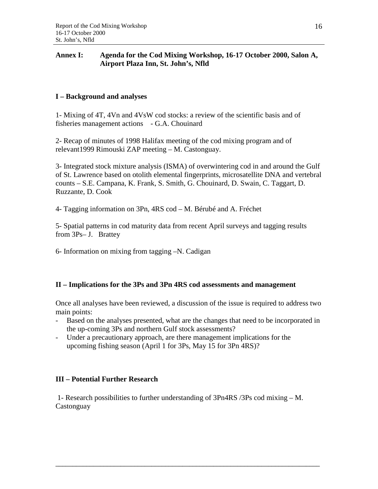## **Annex I: Agenda for the Cod Mixing Workshop, 16-17 October 2000, Salon A, Airport Plaza Inn, St. John's, Nfld**

# **I – Background and analyses**

1- Mixing of 4T, 4Vn and 4VsW cod stocks: a review of the scientific basis and of fisheries management actions - G.A. Chouinard

2- Recap of minutes of 1998 Halifax meeting of the cod mixing program and of relevant1999 Rimouski ZAP meeting – M. Castonguay.

3- Integrated stock mixture analysis (ISMA) of overwintering cod in and around the Gulf of St. Lawrence based on otolith elemental fingerprints, microsatellite DNA and vertebral counts – S.E. Campana, K. Frank, S. Smith, G. Chouinard, D. Swain, C. Taggart, D. Ruzzante, D. Cook

4- Tagging information on 3Pn, 4RS cod – M. Bérubé and A. Fréchet

5- Spatial patterns in cod maturity data from recent April surveys and tagging results from 3Ps– J. Brattey

6- Information on mixing from tagging –N. Cadigan

# **II – Implications for the 3Ps and 3Pn 4RS cod assessments and management**

Once all analyses have been reviewed, a discussion of the issue is required to address two main points:

- Based on the analyses presented, what are the changes that need to be incorporated in the up-coming 3Ps and northern Gulf stock assessments?
- Under a precautionary approach, are there management implications for the upcoming fishing season (April 1 for 3Ps, May 15 for 3Pn 4RS)?

# **III – Potential Further Research**

 1- Research possibilities to further understanding of 3Pn4RS /3Ps cod mixing – M. **Castonguay**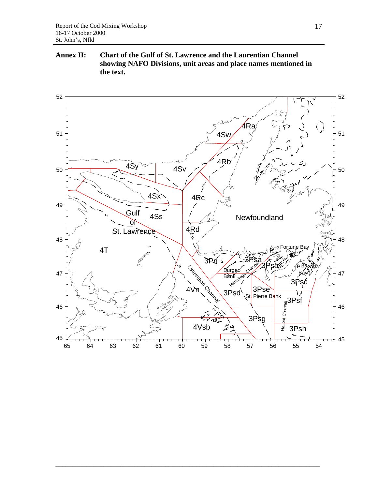## **Annex II: Chart of the Gulf of St. Lawrence and the Laurentian Channel showing NAFO Divisions, unit areas and place names mentioned in the text.**